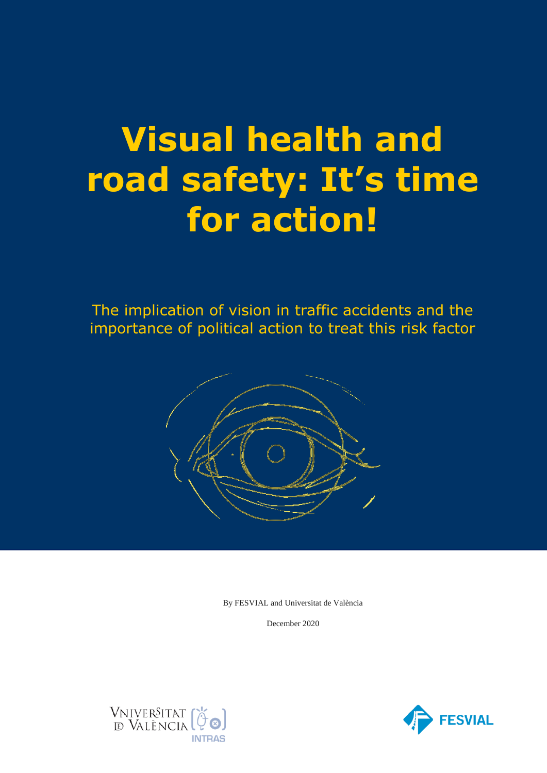# **Visual health and road safety: It's time for action!**

The implication of vision in traffic accidents and the importance of political action to treat this risk factor



By FESVIAL and Universitat de València

December 2020



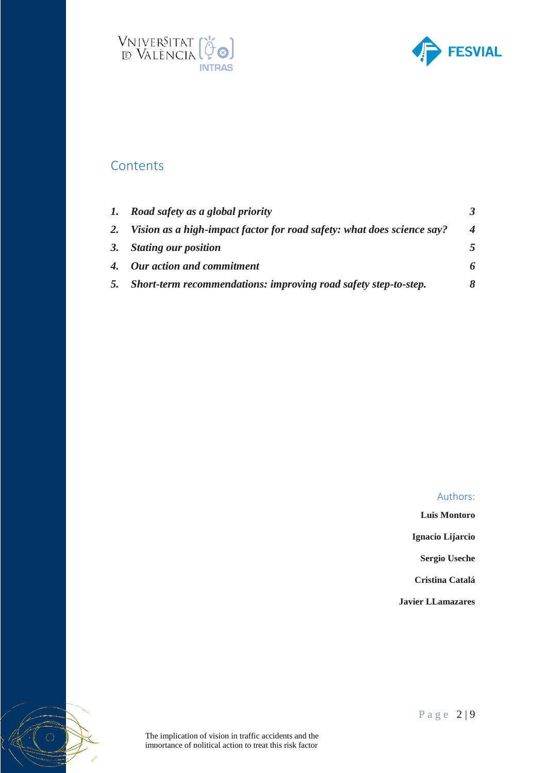



# **Contents**

 $\bigcirc$ 

|    | 1. Road safety as a global priority                                    |                  |
|----|------------------------------------------------------------------------|------------------|
| 2. | Vision as a high-impact factor for road safety: what does science say? | $\boldsymbol{4}$ |
|    | 3. Stating our position                                                | 5                |
|    | 4. Our action and commitment                                           | 6                |
| 5. | Short-term recommendations: improving road safety step-to-step.        | 8                |

#### Authors:

**Luis Montoro Ignacio Lijarcio**

**Sergio Useche**

**Cristina Catalá**

**Javier LLamazares**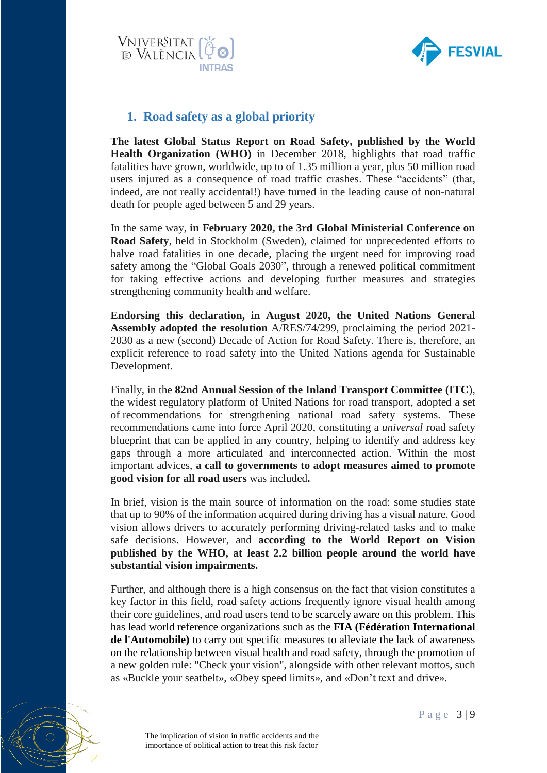



# <span id="page-2-0"></span>**1. Road safety as a global priority**

**The latest Global Status Report on Road Safety, published by the World Health Organization (WHO)** in December 2018, highlights that road traffic fatalities have grown, worldwide, up to of 1.35 million a year, plus 50 million road users injured as a consequence of road traffic crashes. These "accidents" (that, indeed, are not really accidental!) have turned in the leading cause of non-natural death for people aged between 5 and 29 years.

In the same way, **in February 2020, the 3rd Global Ministerial Conference on Road Safety**, held in Stockholm (Sweden), claimed for unprecedented efforts to halve road fatalities in one decade, placing the urgent need for improving road safety among the "Global Goals 2030", through a renewed political commitment for taking effective actions and developing further measures and strategies strengthening community health and welfare.

**Endorsing this declaration, in August 2020, the United Nations General Assembly adopted the resolution** A/RES/74/299, proclaiming the period 2021- 2030 as a new (second) Decade of Action for Road Safety. There is, therefore, an explicit reference to road safety into the United Nations agenda for Sustainable Development.

Finally, in the **82nd Annual Session of the Inland Transport Committee (ITC**), the widest regulatory platform of United Nations for road transport, adopted a set of recommendations for strengthening national road safety systems. These recommendations came into force April 2020, constituting a *universal* road safety blueprint that can be applied in any country, helping to identify and address key gaps through a more articulated and interconnected action. Within the most important advices, **a call to governments to adopt measures aimed to promote good vision for all road users** was included**.**

In brief, vision is the main source of information on the road: some studies state that up to 90% of the information acquired during driving has a visual nature. Good vision allows drivers to accurately performing driving-related tasks and to make safe decisions. However, and **according to the World Report on Vision published by the WHO, at least 2.2 billion people around the world have substantial vision impairments.**

Further, and although there is a high consensus on the fact that vision constitutes a key factor in this field, road safety actions frequently ignore visual health among their core guidelines, and road users tend to be scarcely aware on this problem. This has lead world reference organizations such as the **FIA (Fédération International de l'Automobile)** to carry out specific measures to alleviate the lack of awareness on the relationship between visual health and road safety, through the promotion of a new golden rule: "Check your vision", alongside with other relevant mottos, such as «Buckle your seatbelt», «Obey speed limits», and «Don't text and drive».

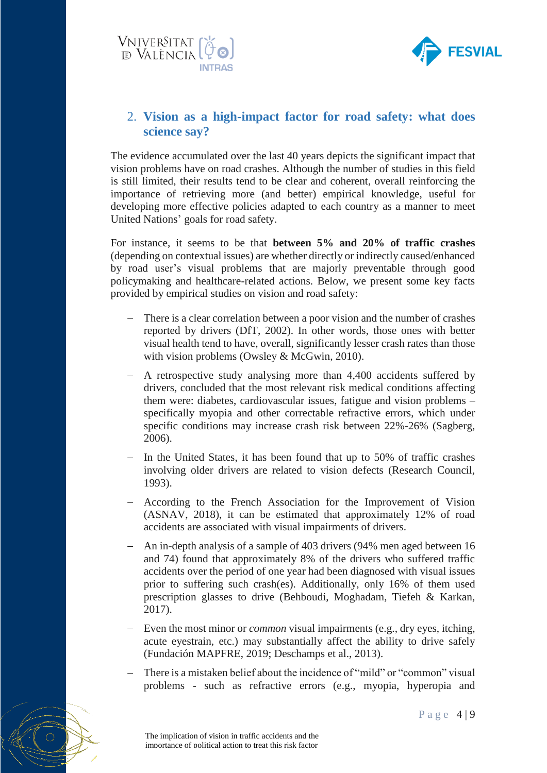



## <span id="page-3-0"></span>2. **Vision as a high-impact factor for road safety: what does science say?**

The evidence accumulated over the last 40 years depicts the significant impact that vision problems have on road crashes. Although the number of studies in this field is still limited, their results tend to be clear and coherent, overall reinforcing the importance of retrieving more (and better) empirical knowledge, useful for developing more effective policies adapted to each country as a manner to meet United Nations' goals for road safety.

For instance, it seems to be that **between 5% and 20% of traffic crashes** (depending on contextual issues) are whether directly or indirectly caused/enhanced by road user's visual problems that are majorly preventable through good policymaking and healthcare-related actions. Below, we present some key facts provided by empirical studies on vision and road safety:

- There is a clear correlation between a poor vision and the number of crashes reported by drivers (DfT, 2002). In other words, those ones with better visual health tend to have, overall, significantly lesser crash rates than those with vision problems (Owsley & McGwin, 2010).
- A retrospective study analysing more than 4,400 accidents suffered by drivers, concluded that the most relevant risk medical conditions affecting them were: diabetes, cardiovascular issues, fatigue and vision problems – specifically myopia and other correctable refractive errors, which under specific conditions may increase crash risk between 22%-26% (Sagberg, 2006).
- $-$  In the United States, it has been found that up to 50% of traffic crashes involving older drivers are related to vision defects (Research Council, 1993).
- According to the French Association for the Improvement of Vision (ASNAV, 2018), it can be estimated that approximately 12% of road accidents are associated with visual impairments of drivers.
- An in-depth analysis of a sample of 403 drivers (94% men aged between 16 and 74) found that approximately 8% of the drivers who suffered traffic accidents over the period of one year had been diagnosed with visual issues prior to suffering such crash(es). Additionally, only 16% of them used prescription glasses to drive (Behboudi, Moghadam, Tiefeh & Karkan, 2017).
- Even the most minor or *common* visual impairments (e.g., dry eyes, itching, acute eyestrain, etc.) may substantially affect the ability to drive safely (Fundación MAPFRE, 2019; Deschamps et al., 2013).
- There is a mistaken belief about the incidence of "mild" or "common" visual problems - such as refractive errors (e.g., myopia, hyperopia and

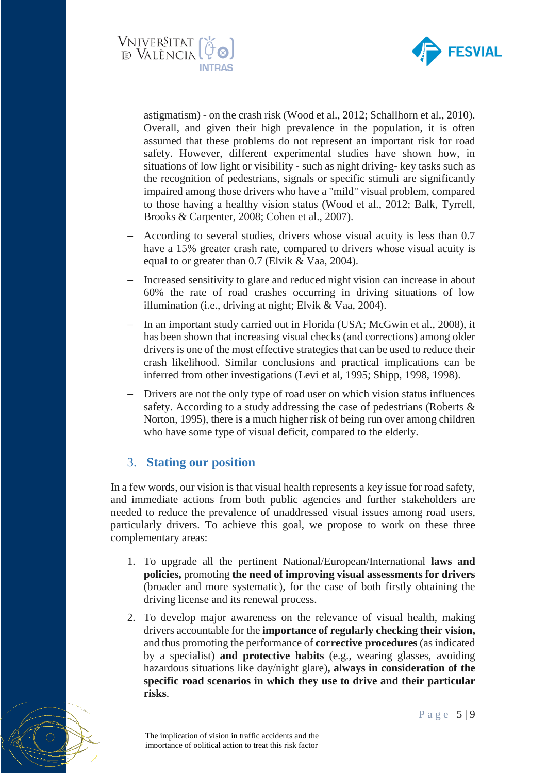



astigmatism) - on the crash risk (Wood et al., 2012; Schallhorn et al., 2010). Overall, and given their high prevalence in the population, it is often assumed that these problems do not represent an important risk for road safety. However, different experimental studies have shown how, in situations of low light or visibility - such as night driving- key tasks such as the recognition of pedestrians, signals or specific stimuli are significantly impaired among those drivers who have a "mild" visual problem, compared to those having a healthy vision status (Wood et al., 2012; Balk, Tyrrell, Brooks & Carpenter, 2008; Cohen et al., 2007).

- According to several studies, drivers whose visual acuity is less than 0.7 have a 15% greater crash rate, compared to drivers whose visual acuity is equal to or greater than 0.7 (Elvik & Vaa, 2004).
- Increased sensitivity to glare and reduced night vision can increase in about 60% the rate of road crashes occurring in driving situations of low illumination (i.e., driving at night; Elvik & Vaa, 2004).
- In an important study carried out in Florida (USA; McGwin et al., 2008), it has been shown that increasing visual checks (and corrections) among older drivers is one of the most effective strategies that can be used to reduce their crash likelihood. Similar conclusions and practical implications can be inferred from other investigations (Levi et al, 1995; Shipp, 1998, 1998).
- Drivers are not the only type of road user on which vision status influences safety. According to a study addressing the case of pedestrians (Roberts & Norton, 1995), there is a much higher risk of being run over among children who have some type of visual deficit, compared to the elderly.

## <span id="page-4-0"></span>3. **Stating our position**

In a few words, our vision is that visual health represents a key issue for road safety, and immediate actions from both public agencies and further stakeholders are needed to reduce the prevalence of unaddressed visual issues among road users, particularly drivers. To achieve this goal, we propose to work on these three complementary areas:

- 1. To upgrade all the pertinent National/European/International **laws and policies,** promoting **the need of improving visual assessments for drivers** (broader and more systematic), for the case of both firstly obtaining the driving license and its renewal process.
- 2. To develop major awareness on the relevance of visual health, making drivers accountable for the **importance of regularly checking their vision,**  and thus promoting the performance of **corrective procedures** (as indicated by a specialist) **and protective habits** (e.g., wearing glasses, avoiding hazardous situations like day/night glare)**, always in consideration of the specific road scenarios in which they use to drive and their particular risks**.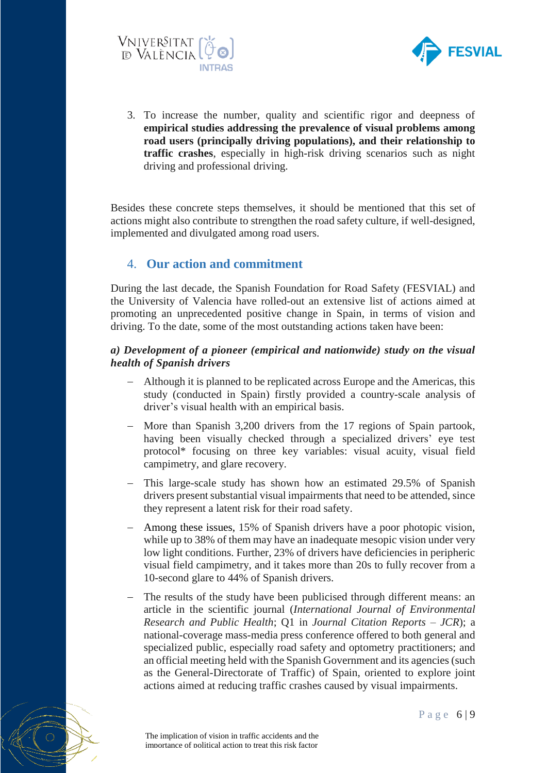



3. To increase the number, quality and scientific rigor and deepness of **empirical studies addressing the prevalence of visual problems among road users (principally driving populations), and their relationship to traffic crashes**, especially in high-risk driving scenarios such as night driving and professional driving.

Besides these concrete steps themselves, it should be mentioned that this set of actions might also contribute to strengthen the road safety culture, if well-designed, implemented and divulgated among road users.

# <span id="page-5-0"></span>4. **Our action and commitment**

During the last decade, the Spanish Foundation for Road Safety (FESVIAL) and the University of Valencia have rolled-out an extensive list of actions aimed at promoting an unprecedented positive change in Spain, in terms of vision and driving. To the date, some of the most outstanding actions taken have been:

## *a) Development of a pioneer (empirical and nationwide) study on the visual health of Spanish drivers*

- Although it is planned to be replicated across Europe and the Americas, this study (conducted in Spain) firstly provided a country-scale analysis of driver's visual health with an empirical basis.
- More than Spanish 3,200 drivers from the 17 regions of Spain partook, having been visually checked through a specialized drivers' eye test protocol\* focusing on three key variables: visual acuity, visual field campimetry, and glare recovery.
- This large-scale study has shown how an estimated 29.5% of Spanish drivers present substantial visual impairments that need to be attended, since they represent a latent risk for their road safety.
- Among these issues, 15% of Spanish drivers have a poor photopic vision, while up to 38% of them may have an inadequate mesopic vision under very low light conditions. Further, 23% of drivers have deficiencies in peripheric visual field campimetry, and it takes more than 20s to fully recover from a 10-second glare to 44% of Spanish drivers.
- The results of the study have been publicised through different means: an article in the scientific journal (*International Journal of Environmental Research and Public Health*; Q1 in *Journal Citation Reports* – *JCR*); a national-coverage mass-media press conference offered to both general and specialized public, especially road safety and optometry practitioners; and an official meeting held with the Spanish Government and its agencies (such as the General-Directorate of Traffic) of Spain, oriented to explore joint actions aimed at reducing traffic crashes caused by visual impairments.

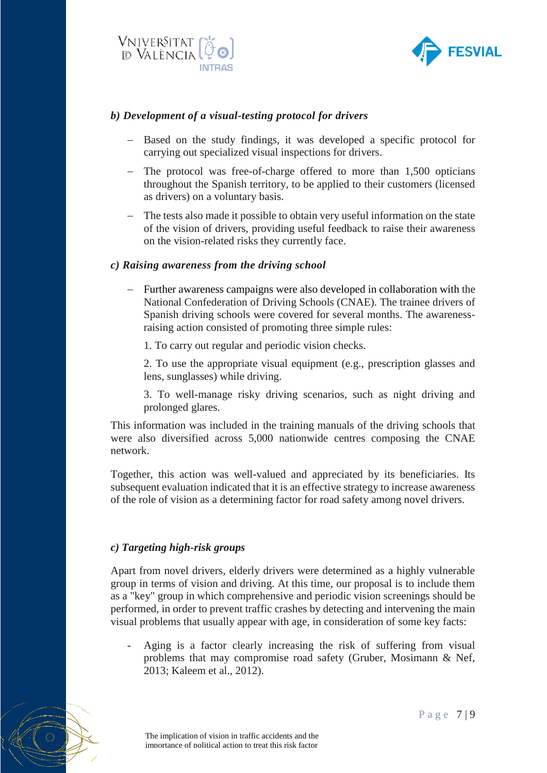



## *b) Development of a visual-testing protocol for drivers*

- Based on the study findings, it was developed a specific protocol for carrying out specialized visual inspections for drivers.
- The protocol was free-of-charge offered to more than 1,500 opticians throughout the Spanish territory, to be applied to their customers (licensed as drivers) on a voluntary basis.
- The tests also made it possible to obtain very useful information on the state of the vision of drivers, providing useful feedback to raise their awareness on the vision-related risks they currently face.

## *c) Raising awareness from the driving school*

 Further awareness campaigns were also developed in collaboration with the National Confederation of Driving Schools (CNAE). The trainee drivers of Spanish driving schools were covered for several months. The awarenessraising action consisted of promoting three simple rules:

1. To carry out regular and periodic vision checks.

2. To use the appropriate visual equipment (e.g., prescription glasses and lens, sunglasses) while driving.

3. To well-manage risky driving scenarios, such as night driving and prolonged glares.

This information was included in the training manuals of the driving schools that were also diversified across 5,000 nationwide centres composing the CNAE network.

Together, this action was well-valued and appreciated by its beneficiaries. Its subsequent evaluation indicated that it is an effective strategy to increase awareness of the role of vision as a determining factor for road safety among novel drivers.

## *c) Targeting high-risk groups*

Apart from novel drivers, elderly drivers were determined as a highly vulnerable group in terms of vision and driving. At this time, our proposal is to include them as a "key" group in which comprehensive and periodic vision screenings should be performed, in order to prevent traffic crashes by detecting and intervening the main visual problems that usually appear with age, in consideration of some key facts:

- Aging is a factor clearly increasing the risk of suffering from visual problems that may compromise road safety (Gruber, Mosimann & Nef, 2013; Kaleem et al., 2012).

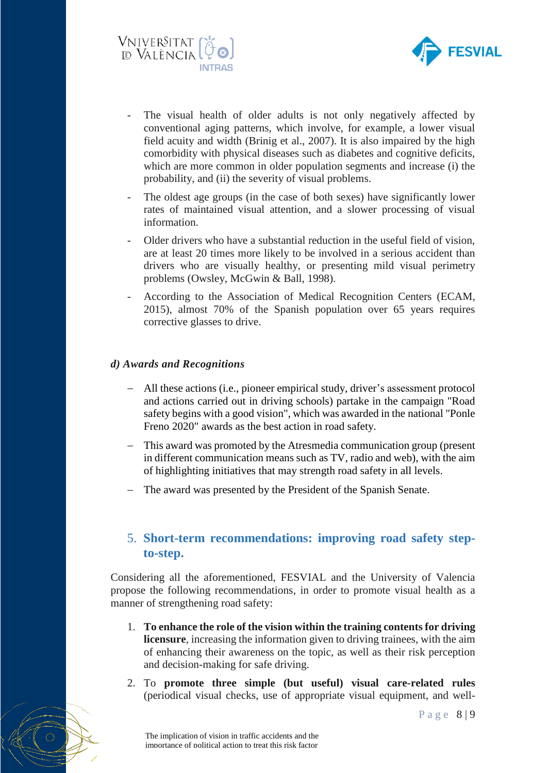



- The visual health of older adults is not only negatively affected by conventional aging patterns, which involve, for example, a lower visual field acuity and width (Brinig et al., 2007). It is also impaired by the high comorbidity with physical diseases such as diabetes and cognitive deficits, which are more common in older population segments and increase (i) the probability, and (ii) the severity of visual problems.
- The oldest age groups (in the case of both sexes) have significantly lower rates of maintained visual attention, and a slower processing of visual information.
- Older drivers who have a substantial reduction in the useful field of vision, are at least 20 times more likely to be involved in a serious accident than drivers who are visually healthy, or presenting mild visual perimetry problems (Owsley, McGwin & Ball, 1998).
- According to the Association of Medical Recognition Centers (ECAM, 2015), almost 70% of the Spanish population over 65 years requires corrective glasses to drive.

## *d) Awards and Recognitions*

- All these actions (i.e., pioneer empirical study, driver's assessment protocol and actions carried out in driving schools) partake in the campaign "Road safety begins with a good vision", which was awarded in the national "Ponle Freno 2020" awards as the best action in road safety.
- This award was promoted by the Atresmedia communication group (present in different communication means such as TV, radio and web), with the aim of highlighting initiatives that may strength road safety in all levels.
- The award was presented by the President of the Spanish Senate.

# <span id="page-7-0"></span>5. **Short-term recommendations: improving road safety stepto-step.**

Considering all the aforementioned, FESVIAL and the University of Valencia propose the following recommendations, in order to promote visual health as a manner of strengthening road safety:

- 1. **To enhance the role of the vision within the training contents for driving licensure**, increasing the information given to driving trainees, with the aim of enhancing their awareness on the topic, as well as their risk perception and decision-making for safe driving.
- 2. To **promote three simple (but useful) visual care-related rules** (periodical visual checks, use of appropriate visual equipment, and well-